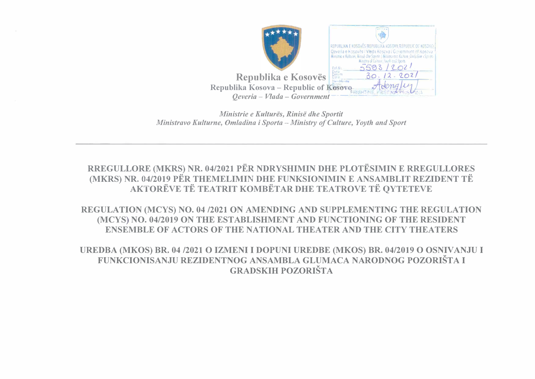

Ministrie e Kulturës, Rinisë dhe Sportit Ministravo Kulturne, Omladina i Sporta - Ministry of Culture, Yovth and Sport

RREGULLORE (MKRS) NR. 04/2021 PËR NDRYSHIMIN DHE PLOTËSIMIN E RREGULLORES (MKRS) NR. 04/2019 PËR THEMELIMIN DHE FUNKSIONIMIN E ANSAMBLIT REZIDENT TË AKTORËVE TË TEATRIT KOMBËTAR DHE TEATROVE TË QYTETEVE

REGULATION (MCYS) NO. 04 /2021 ON AMENDING AND SUPPLEMENTING THE REGULATION (MCYS) NO. 04/2019 ON THE ESTABLISHMENT AND FUNCTIONING OF THE RESIDENT **ENSEMBLE OF ACTORS OF THE NATIONAL THEATER AND THE CITY THEATERS** 

UREDBA (MKOS) BR. 04 /2021 O IZMENI I DOPUNI UREDBE (MKOS) BR. 04/2019 O OSNIVANJU I FUNKCIONISANJU REZIDENTNOG ANSAMBLA GLUMACA NARODNOG POZORIŠTA I **GRADSKIH POZORIŠTA**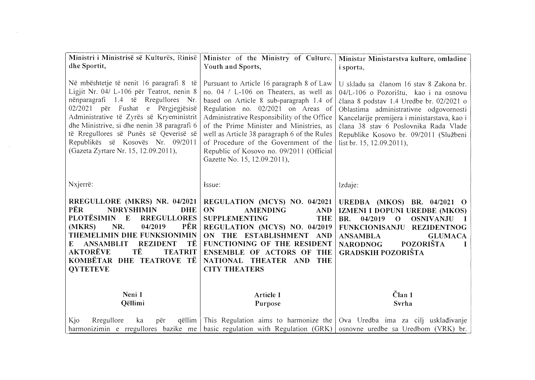| Ministri i Ministrisë së Kulturës, Rinisë<br>dhe Sportit,                                                                                                                                                                                                                                                                                                                            | Minister of the Ministry of Culture,<br>Youth and Sports,                                                                                                                                                                                                                                                                                                                                                                           | Ministar Ministarstva kulture, omladine<br><i>i</i> sporta,                                                                                                                                                                                                                                                                            |
|--------------------------------------------------------------------------------------------------------------------------------------------------------------------------------------------------------------------------------------------------------------------------------------------------------------------------------------------------------------------------------------|-------------------------------------------------------------------------------------------------------------------------------------------------------------------------------------------------------------------------------------------------------------------------------------------------------------------------------------------------------------------------------------------------------------------------------------|----------------------------------------------------------------------------------------------------------------------------------------------------------------------------------------------------------------------------------------------------------------------------------------------------------------------------------------|
| Në mbështetje të nenit 16 paragrafi 8 të<br>Ligjit Nr. 04/ L-106 për Teatrot, nenin 8<br>nënparagrafi 1.4 të Rregullores Nr.<br>02/2021 për Fushat e Përgjegjësisë<br>Administrative të Zyrës së Kryeministrit<br>dhe Ministrive, si dhe nenin 38 paragrafi 6<br>të Rregullores së Punës së Qeverisë së<br>Republikës së Kosovës Nr. 09/2011<br>(Gazeta Zyrtare Nr. 15, 12.09.2011), | Pursuant to Article 16 paragraph 8 of Law<br>no. 04 / L-106 on Theaters, as well as<br>based on Article 8 sub-paragraph 1.4 of<br>Regulation no. 02/2021 on Areas of<br>Administrative Responsibility of the Office<br>of the Prime Minister and Ministries, as<br>well as Article 38 paragraph 6 of the Rules<br>of Procedure of the Government of the<br>Republic of Kosovo no. 09/2011 (Official<br>Gazette No. 15, 12.09.2011), | U skladu sa članom 16 stav 8 Zakona br.<br>04/L-106 o Pozorištu, kao i na osnovu<br>člana 8 podstav 1.4 Uredbe br. 02/2021 o<br>Oblastima administrativne odgovornosti<br>Kancelarije premijera i ministarstava, kao i<br>člana 38 stav 6 Poslovnika Rada Vlade<br>Republike Kosovo br. 09/2011 (Službeni<br>list br. 15, 12.09.2011), |
| Nxjerrë:                                                                                                                                                                                                                                                                                                                                                                             | Issue:                                                                                                                                                                                                                                                                                                                                                                                                                              | lzdaje:                                                                                                                                                                                                                                                                                                                                |
| RREGULLORE (MKRS) NR. 04/2021<br><b>PËR</b><br><b>NDRYSHIMIN</b><br><b>DHE</b><br>PLOTËSIMIN E<br><b>RREGULLORES</b><br>PËR  <br>(MKRS)<br>NR.<br>04/2019<br>THEMELIMIN DHE FUNKSIONIMIN<br>ТË<br><b>ANSAMBLIT</b><br><b>REZIDENT</b><br>E<br><b>AKTORËVE</b><br>TË<br><b>TEATRIT</b><br>KOMBËTAR DHE TEATROVE TË<br><b>OYTETEVE</b>                                                 | REGULATION (MCYS) NO. 04/2021<br>ON<br><b>AMENDING</b><br><b>AND</b><br><b>SUPPLEMENTING</b><br><b>THE</b><br>REGULATION (MCYS) NO. 04/2019<br>ON THE ESTABLISHMENT AND<br>FUNCTIONING OF THE RESIDENT<br>ENSEMBLE OF ACTORS OF THE<br>NATIONAL THEATER AND THE<br><b>CITY THEATERS</b>                                                                                                                                             | UREDBA (MKOS) BR. 04/2021 O<br>IZMENI I DOPUNI UREDBE (MKOS)<br>04/2019<br><b>OSNIVANJU</b><br>BR.<br>$\mathbf{O}$<br>$\mathbf{I}$<br><b>FUNKCIONISANJU</b><br><b>REZIDENTNOG</b><br><b>GLUMACA</b><br><b>ANSAMBLA</b><br><b>POZORIŠTA</b><br><b>NARODNOG</b><br><b>GRADSKIH POZORIŠTA</b>                                             |
| Neni 1                                                                                                                                                                                                                                                                                                                                                                               | Article 1                                                                                                                                                                                                                                                                                                                                                                                                                           | $\check{\mathrm{C}}$ lan 1                                                                                                                                                                                                                                                                                                             |
| Qëllimi                                                                                                                                                                                                                                                                                                                                                                              | Purpose                                                                                                                                                                                                                                                                                                                                                                                                                             | Svrha                                                                                                                                                                                                                                                                                                                                  |
| Rregullore<br>Kjo<br>ka<br>qëllim  <br>për                                                                                                                                                                                                                                                                                                                                           | harmonizimin e rregullores bazike me basic regulation with Regulation $(GRK)$                                                                                                                                                                                                                                                                                                                                                       | This Regulation aims to harmonize the $\sqrt{Ov}$ Uredba ima za cilj uskladivanje<br>osnovne uredbe sa Uredbom (VRK) br.                                                                                                                                                                                                               |

 $\sim 10^{11}$ 

 $\sim 300$  km s  $^{-1}$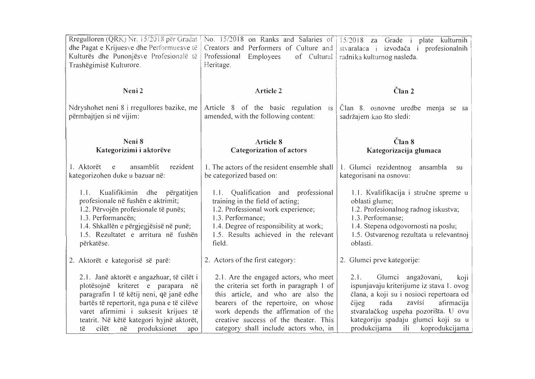| Rregulloren (QRK) Nr. 15/2018 për Gradat<br>dhe Pagat e Krijuesve dhe Performuesve të<br>Kulturës dhe Punonjësve Profesionalë të<br>Trashëgimisë Kulturore.                                                                                                                                              | Creators and Performers of Culture and<br>Professional<br>Employees<br>of Cultural<br>Heritage.                                                                                                                                                                                         | No. 15/2018 on Ranks and Salaries of 15/2018 za Grade i plate kulturnih<br>stvaralaca i izvođača i profesionalnih<br>radnika kulturnog nasleđa.                                                                                                                                             |
|----------------------------------------------------------------------------------------------------------------------------------------------------------------------------------------------------------------------------------------------------------------------------------------------------------|-----------------------------------------------------------------------------------------------------------------------------------------------------------------------------------------------------------------------------------------------------------------------------------------|---------------------------------------------------------------------------------------------------------------------------------------------------------------------------------------------------------------------------------------------------------------------------------------------|
| Neni2                                                                                                                                                                                                                                                                                                    | Article 2                                                                                                                                                                                                                                                                               | Član <sub>2</sub>                                                                                                                                                                                                                                                                           |
| Ndryshohet neni 8 i rregullores bazike, me<br>përmbajtjen si në vijim:                                                                                                                                                                                                                                   | Article 8 of the basic regulation is<br>amended, with the following content:                                                                                                                                                                                                            | Clan 8. osnovne uredbe menja se sa<br>sadržajem kao što sledi:                                                                                                                                                                                                                              |
| Neni 8<br>Kategorizimi i aktorëve                                                                                                                                                                                                                                                                        | Article 8<br><b>Categorization of actors</b>                                                                                                                                                                                                                                            | Član 8<br>Kategorizacija glumaca                                                                                                                                                                                                                                                            |
| rezident<br>ansamblit<br>1. Aktorët<br>e<br>kategorizohen duke u bazuar në:                                                                                                                                                                                                                              | 1. The actors of the resident ensemble shall<br>be categorized based on:                                                                                                                                                                                                                | 1. Glumci rezidentnog<br>ansambla<br>su<br>kategorisani na osnovu:                                                                                                                                                                                                                          |
| Kualifikimin dhe përgatitjen<br>1.1.<br>profesionale në fushën e aktrimit;<br>1.2. Përvojën profesionale të punës;<br>1.3. Performancën;<br>1.4. Shkallën e përgjegjësisë në punë;<br>1.5. Rezultatet e arritura në fushën<br>përkatëse.                                                                 | 1.1. Qualification and professional<br>training in the field of acting;<br>1.2. Professional work experience;<br>1.3. Performance;<br>1.4. Degree of responsibility at work;<br>1.5. Results achieved in the relevant<br>field.                                                         | 1.1. Kvalifikacija i stručne spreme u<br>oblasti glume;<br>1.2. Profesionalnog radnog iskustva;<br>1.3. Performanse;<br>1.4. Stepena odgovornosti na poslu;<br>1.5. Ostvarenog rezultata u relevantnoj<br>oblasti.                                                                          |
| 2. Aktorët e kategorisë së parë:                                                                                                                                                                                                                                                                         | 2. Actors of the first category:                                                                                                                                                                                                                                                        | 2. Glumci prve kategorije:                                                                                                                                                                                                                                                                  |
| 2.1. Janë aktorët e angazhuar, të cilët i<br>plotësojnë kriteret e parapara në<br>paragrafin 1 të këtij neni, që janë edhe<br>bartës të repertorit, nga puna e të cilëve<br>varet afirmimi i suksesit krijues të<br>teatrit. Në këtë kategori hyjnë aktorët,<br>produksionet<br>cilët<br>në<br>të<br>apo | 2.1. Are the engaged actors, who meet<br>the criteria set forth in paragraph 1 of<br>this article, and who are also the<br>bearers of the repertoire, on whose<br>work depends the affirmation of the<br>creative success of the theater. This<br>category shall include actors who, in | 2.1.<br>Glumci angažovani,<br>koji<br>ispunjavaju kriterijume iz stava 1. ovog<br>člana, a koji su i nosioci repertoara od<br>zavisi<br>čijeg<br>rada<br>afirmacija<br>stvaralačkog uspeha pozorišta. U ovu<br>kategoriju spadaju glumci koji su u<br>produkcijama<br>ili<br>koprodukcijama |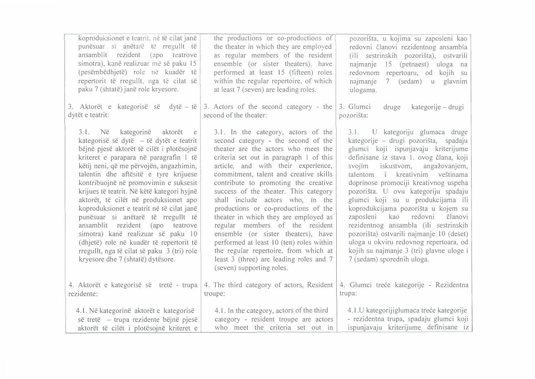| koproduksionet e teatrit. në të cilat janë<br>punësuar si anëtarë të rregullt të<br>ansamblit rezident (apo teatrove<br>simotra), kanë realizuar më së paku 15<br>(pesëmbëdhjetë) role në kuadër të<br>repertorit të rregullt, nga të cilat së<br>paku 7 (shtatë) janë role kryesore.<br>3. Aktorët e kategorisë së dytë – të<br>dytët e teatrit:                                                                                                                                                                                                                                                                                                                                       | the productions or co-productions of<br>the theater in which they are employed<br>as regular members of the resident<br>ensemble (or sister theaters), have<br>performed at least 15 (fifteen) roles<br>within the regular repertoire, of which<br>at least 7 (seven) are leading roles.<br>3. Actors of the second category - the $\vert$ 3. Glumci<br>second of the theater:                                                                                                                                                                                                                                                                                                             | pozorišta, u kojima su zaposleni kao<br>redovni članovi rezidentnog ansambla<br>(ili sestrinskih pozorišta), ostvarili<br>najmanje 15 (petnaest) uloga na<br>redovnom repertoaru, od kojih su<br>7 (sedam) u glavnim<br>najmanje<br>ulogama.<br>druge<br>kategorije – drugi<br>pozorišta:                                                                                                                                                                                                                                                                                                                                                 |
|-----------------------------------------------------------------------------------------------------------------------------------------------------------------------------------------------------------------------------------------------------------------------------------------------------------------------------------------------------------------------------------------------------------------------------------------------------------------------------------------------------------------------------------------------------------------------------------------------------------------------------------------------------------------------------------------|--------------------------------------------------------------------------------------------------------------------------------------------------------------------------------------------------------------------------------------------------------------------------------------------------------------------------------------------------------------------------------------------------------------------------------------------------------------------------------------------------------------------------------------------------------------------------------------------------------------------------------------------------------------------------------------------|-------------------------------------------------------------------------------------------------------------------------------------------------------------------------------------------------------------------------------------------------------------------------------------------------------------------------------------------------------------------------------------------------------------------------------------------------------------------------------------------------------------------------------------------------------------------------------------------------------------------------------------------|
| 3.1. Në<br>kategorinë aktorët<br>e e<br>kategorisë së dytë - të dytët e teatrit<br>bëjnë pjesë aktorët të cilët i plotësojnë<br>kriteret e parapara në paragrafin 1 të<br>këtij neni, që me përvojën, angazhimin,<br>talentin dhe aftësitë e tyre krijuese<br>kontribuojnë në promovimin e suksesit<br>krijues të teatrit. Në këtë kategori hyjnë<br>aktorët, të cilët në produksionet apo<br>koproduksionet e teatrit në të cilat janë<br>punësuar si anëtarë të rregullt të<br>ansamblit rezident (apo teatrove<br>simotra) kanë realizuar së paku 10<br>(dhjetë) role në kuadër të repertorit të<br>rregullt, nga të cilat së paku 3 (tri) role<br>kryesore dhe 7 (shtatë) dytësore. | 3.1. In the category, actors of the<br>second category - the second of the<br>theater are the actors who meet the<br>criteria set out in paragraph 1 of this<br>article, and with their experience,<br>commitment, talent and creative skills<br>contribute to promoting the creative<br>success of the theater. This category<br>shall include actors who, in the<br>productions or co-productions of the<br>theater in which they are employed as<br>regular members of the resident<br>ensemble (or sister theaters), have<br>performed at least 10 (ten) roles within<br>the regular repertoire, from which at<br>least 3 (three) are leading roles and 7<br>(seven) supporting roles. | 3.1. U kategoriju glumaca druge<br>kategorije – drugi pozorišta, spadaju<br>glumci koji ispunjavaju kriterijume<br>definisane iz stava 1. ovog člana, koji<br>svojim iskustvom,<br>angažovanjem,<br>talentom i kreativnim veštinama<br>doprinose promociji kreativnog uspeha<br>pozorišta. U ovu kategoriju spadaju<br>glumci koji su u produkcijama ili<br>koprodukcijama pozorišta u kojem su<br>zaposleni kao redovni članovi<br>rezidentnog ansambla (ili sestrinskih<br>pozorišta) ostvarili najmanje 10 (deset)<br>uloga u okviru redovnog repertoara, od<br>kojih su najmanje 3 (tri) glavne uloge i<br>7 (sedam) sporednih uloga. |
| 4. Aktorët e kategorisë së tretë - trupa                                                                                                                                                                                                                                                                                                                                                                                                                                                                                                                                                                                                                                                | 4. The third category of actors, Resident                                                                                                                                                                                                                                                                                                                                                                                                                                                                                                                                                                                                                                                  | 4. Glumci treće kategorije - Rezidentna                                                                                                                                                                                                                                                                                                                                                                                                                                                                                                                                                                                                   |
| rezidente:                                                                                                                                                                                                                                                                                                                                                                                                                                                                                                                                                                                                                                                                              | troupe:                                                                                                                                                                                                                                                                                                                                                                                                                                                                                                                                                                                                                                                                                    | trupa:                                                                                                                                                                                                                                                                                                                                                                                                                                                                                                                                                                                                                                    |
| 4.1. Në kategorinë aktorët e kategorisë                                                                                                                                                                                                                                                                                                                                                                                                                                                                                                                                                                                                                                                 | 4.1. In the category, actors of the third                                                                                                                                                                                                                                                                                                                                                                                                                                                                                                                                                                                                                                                  | 4.1. U kategoriji glumaca treće kategorije                                                                                                                                                                                                                                                                                                                                                                                                                                                                                                                                                                                                |
| së tretë - trupa rezidente bëjnë pjesë                                                                                                                                                                                                                                                                                                                                                                                                                                                                                                                                                                                                                                                  | category - resident troupe are actors                                                                                                                                                                                                                                                                                                                                                                                                                                                                                                                                                                                                                                                      | - rezidentna trupa, spadaju glumci koji                                                                                                                                                                                                                                                                                                                                                                                                                                                                                                                                                                                                   |
| aktorët të cilët i plotësojnë kriteret e                                                                                                                                                                                                                                                                                                                                                                                                                                                                                                                                                                                                                                                | who meet the criteria set out in                                                                                                                                                                                                                                                                                                                                                                                                                                                                                                                                                                                                                                                           | ispunjavaju kriterijume definisane iz                                                                                                                                                                                                                                                                                                                                                                                                                                                                                                                                                                                                     |